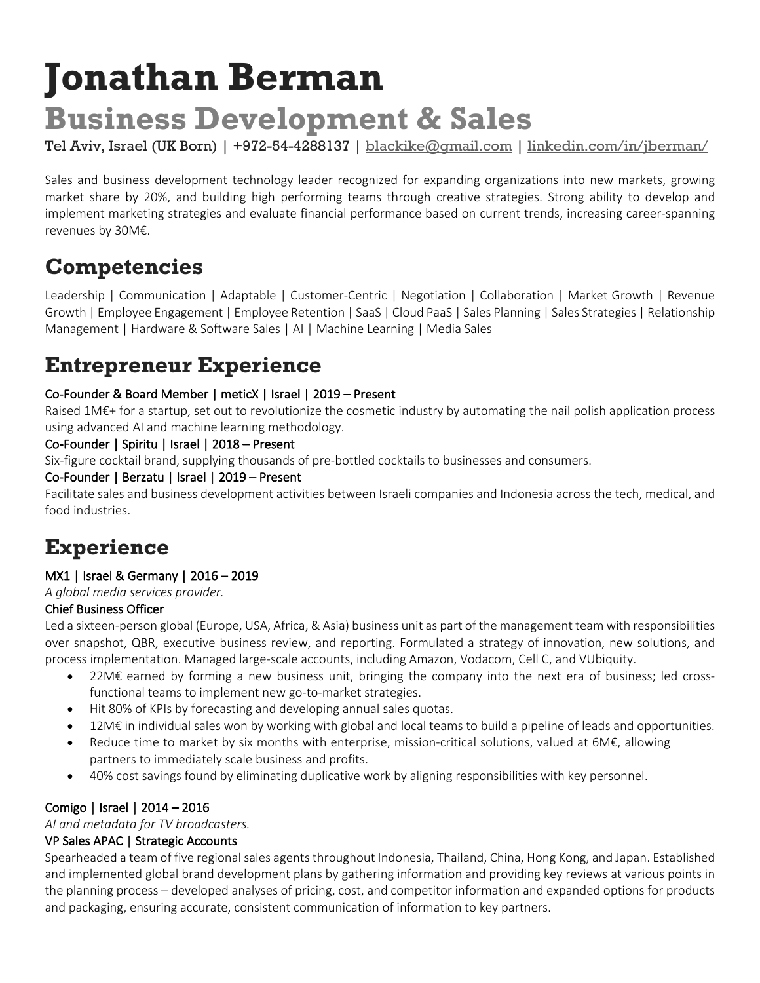# **Jonathan Berman Business Development & Sales**

Tel Aviv, Israel (UK Born) | +972-54-4288137 | blackike@gmail.com | linkedin.com/in/jberman/

Sales and business development technology leader recognized for expanding organizations into new markets, growing market share by 20%, and building high performing teams through creative strategies. Strong ability to develop and implement marketing strategies and evaluate financial performance based on current trends, increasing career-spanning revenues by 30M€.

# **Competencies**

Leadership | Communication | Adaptable | Customer-Centric | Negotiation | Collaboration | Market Growth | Revenue Growth | Employee Engagement | Employee Retention | SaaS | Cloud PaaS | Sales Planning | Sales Strategies | Relationship Management | Hardware & Software Sales | AI | Machine Learning | Media Sales

# **Entrepreneur Experience**

#### Co-Founder & Board Member | meticX | Israel | 2019 – Present

Raised 1M€+ for a startup, set out to revolutionize the cosmetic industry by automating the nail polish application process using advanced AI and machine learning methodology.

#### Co-Founder | Spiritu | Israel | 2018 – Present

Six-figure cocktail brand, supplying thousands of pre-bottled cocktails to businesses and consumers.

#### Co-Founder | Berzatu | Israel | 2019 – Present

Facilitate sales and business development activities between Israeli companies and Indonesia across the tech, medical, and food industries.

# **Experience**

#### MX1 | Israel & Germany | 2016 – 2019

*A global media services provider.*

#### Chief Business Officer

Led a sixteen-person global (Europe, USA, Africa, & Asia) business unit as part of the management team with responsibilities over snapshot, QBR, executive business review, and reporting. Formulated a strategy of innovation, new solutions, and process implementation. Managed large-scale accounts, including Amazon, Vodacom, Cell C, and VUbiquity.

- 22M€ earned by forming a new business unit, bringing the company into the next era of business; led crossfunctional teams to implement new go-to-market strategies.
- Hit 80% of KPIs by forecasting and developing annual sales quotas.
- 12M€ in individual sales won by working with global and local teams to build a pipeline of leads and opportunities.
- Reduce time to market by six months with enterprise, mission-critical solutions, valued at 6M€, allowing partners to immediately scale business and profits.
- 40% cost savings found by eliminating duplicative work by aligning responsibilities with key personnel.

#### Comigo | Israel | 2014 – 2016

*AI and metadata for TV broadcasters.*

#### VP Sales APAC | Strategic Accounts

Spearheaded a team of five regional sales agents throughout Indonesia, Thailand, China, Hong Kong, and Japan. Established and implemented global brand development plans by gathering information and providing key reviews at various points in the planning process – developed analyses of pricing, cost, and competitor information and expanded options for products and packaging, ensuring accurate, consistent communication of information to key partners.